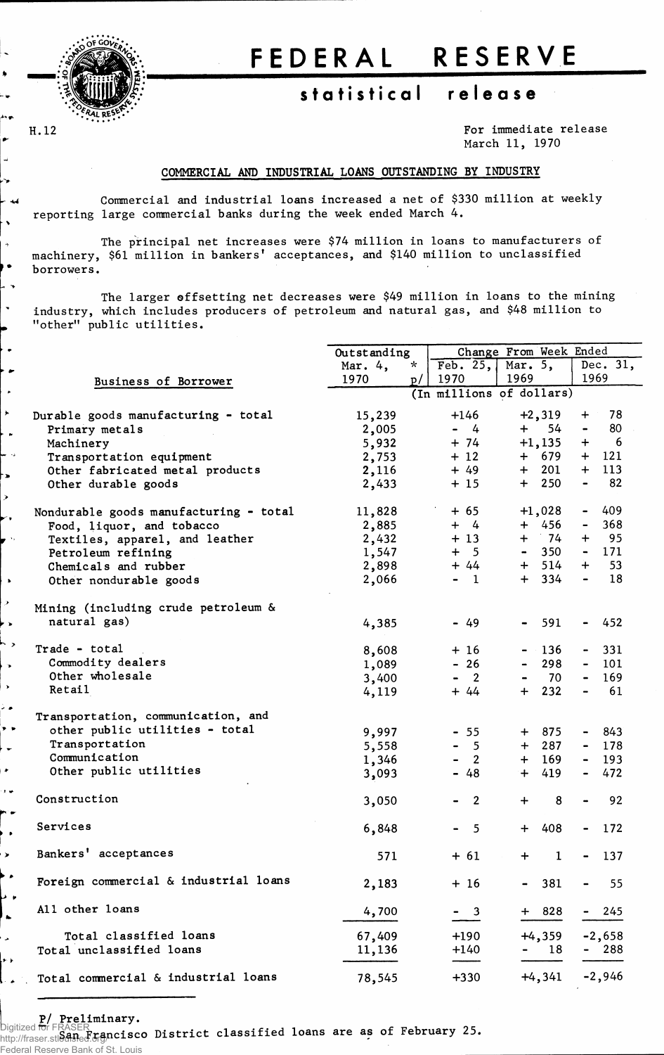

**H. 12**

 $\ddot{\phantom{0}}$ 

 $\bullet$ 

 $\tilde{\phantom{a}}$ 

 $\rightarrow$ 

 $\cdot$ 

ر ا

# **FEDERA L RESERV E**

# **statistica l releas e**

**For immediate release March 11, 1970**

#### **COMMERCIAL AND INDUSTRIAL LOANS OUTSTANDING BY INDUSTRY**

**Commercial and industrial loans increased a net of \$330 million at weekly reporting large commercial banks during the week ended March 4.**

**The principal net increases were \$74 million in loans to manufacturers of machinery, \$61 million in bankers' acceptances, and \$140 million to unclassified borrowers.** 

**The larger offsetting net decreases were \$49 million in loans to the mining industry, which includes producers of petroleum and natural gas, and \$48 million to "other" public utilities.**

|                                        | Outstanding        |                                  | Change From Week Ended |                                    |  |
|----------------------------------------|--------------------|----------------------------------|------------------------|------------------------------------|--|
|                                        | Mar. 4,<br>$\star$ | Feb. $25,$                       | Mar. 5,                | Dec. 31,                           |  |
| Business of Borrower                   | 1970<br>p/         | 1970                             | 1969                   | 1969                               |  |
|                                        |                    | (In millions of dollars)         |                        |                                    |  |
|                                        |                    |                                  |                        |                                    |  |
| Durable goods manufacturing - total    | 15,239             | $+146$                           | $+2,319$               | 78<br>$\ddot{}$                    |  |
| Primary metals                         | 2,005              | $-4$                             | 54<br>$+$              | 80<br>$\qquad \qquad \blacksquare$ |  |
| Machinery                              | 5,932              | $+ 74$                           | $+1, 135$              | 6<br>$\div$                        |  |
|                                        |                    |                                  | 679                    | $+ 121$                            |  |
| Transportation equipment               | 2,753              | $+12$                            | $+$                    |                                    |  |
| Other fabricated metal products        | 2,116              | $+49$                            | $+$ 201                | 113<br>$+$                         |  |
| Other durable goods                    | 2,433              | $+15$                            | $+$ 250                | 82<br>$\qquad \qquad \blacksquare$ |  |
| Nondurable goods manufacturing - total | 11,828             | $+ 65$                           | $+1,028$               | 409<br>$\blacksquare$              |  |
| Food, liquor, and tobacco              | 2,885              | $+$ 4                            | 456<br>$+$ $-$         | 368<br>$\blacksquare$              |  |
| Textiles, apparel, and leather         | 2,432              | $+13$                            | + 74                   | 95<br>$\ddot{}$                    |  |
| Petroleum refining                     | 1,547              | $+ 5$                            | 350<br>$\blacksquare$  | $-171$                             |  |
|                                        |                    | $+44$                            | $+ 514$                | 53<br>$+$                          |  |
| Chemicals and rubber                   | 2,898              |                                  |                        |                                    |  |
| Other nondurable goods                 | 2,066              | - 1                              | $+ 334$                | 18<br>$\blacksquare$               |  |
| Mining (including crude petroleum &    |                    |                                  |                        |                                    |  |
| natural gas)                           | 4,385              | $-49$                            | 591<br>$\blacksquare$  | 452<br>$\blacksquare$              |  |
|                                        |                    |                                  |                        |                                    |  |
| Trade - total                          | 8,608              | $+16$                            | $-136$                 | 331<br>۰.                          |  |
| Commodity dealers                      |                    | $-26$                            | 298                    | 101                                |  |
| Other wholesale                        | 1,089              |                                  |                        |                                    |  |
|                                        | 3,400              | $\overline{\mathbf{2}}$<br>-     | 70                     | 169<br>$\blacksquare$              |  |
| Retail                                 | 4,119              | $+ 44$                           | 232<br>$+$             | 61                                 |  |
| Transportation, communication, and     |                    |                                  |                        |                                    |  |
| other public utilities - total         |                    |                                  |                        |                                    |  |
|                                        | 9,997              | $-55$                            | $+875$                 | 843                                |  |
| Transportation                         | 5,558              | $-5$                             | $+ 287$                | $-178$                             |  |
| Communication                          | 1,346              | $\overline{\phantom{a}}$         | $+ 169$                | $-193$                             |  |
| Other public utilities                 | 3,093              | $-48$                            | $+ 419$                | 472<br>$\blacksquare$              |  |
| Construction                           | 3,050              | $\overline{2}$<br>$\blacksquare$ | 8<br>$\div$            | 92                                 |  |
|                                        |                    |                                  |                        |                                    |  |
| Services                               | 6,848              | $\overline{5}$<br>$\blacksquare$ | 408<br>$+$             | 172<br>$\blacksquare$              |  |
|                                        |                    |                                  |                        |                                    |  |
| Bankers' acceptances                   | 571                | $+61$                            | $\mathbf{1}$<br>$\div$ | $-137$                             |  |
| Foreign commercial & industrial loans  | 2,183              | $+16$                            | 381<br>$\blacksquare$  | 55                                 |  |
|                                        |                    |                                  |                        |                                    |  |
| All other loans                        | 4,700              | $-3$                             | $+ 828$                | 245<br>$\blacksquare$              |  |
| Total classified loans                 | 67,409             | $+190$                           | $+4,359$               | $-2,658$                           |  |
| Total unclassified loans               | 11,136             | $+140$                           | 18                     | - 288                              |  |
| Total commercial & industrial loans    | 78,545             | $+330$                           | $+4,341$               | $-2,946$                           |  |

**P/ Preliminary.** Digitized for FRASER

**San Francisco District classified loans are as of February 25.** http://fraser.stlouisfed.org/ Federal Reserve Bank of St. Louis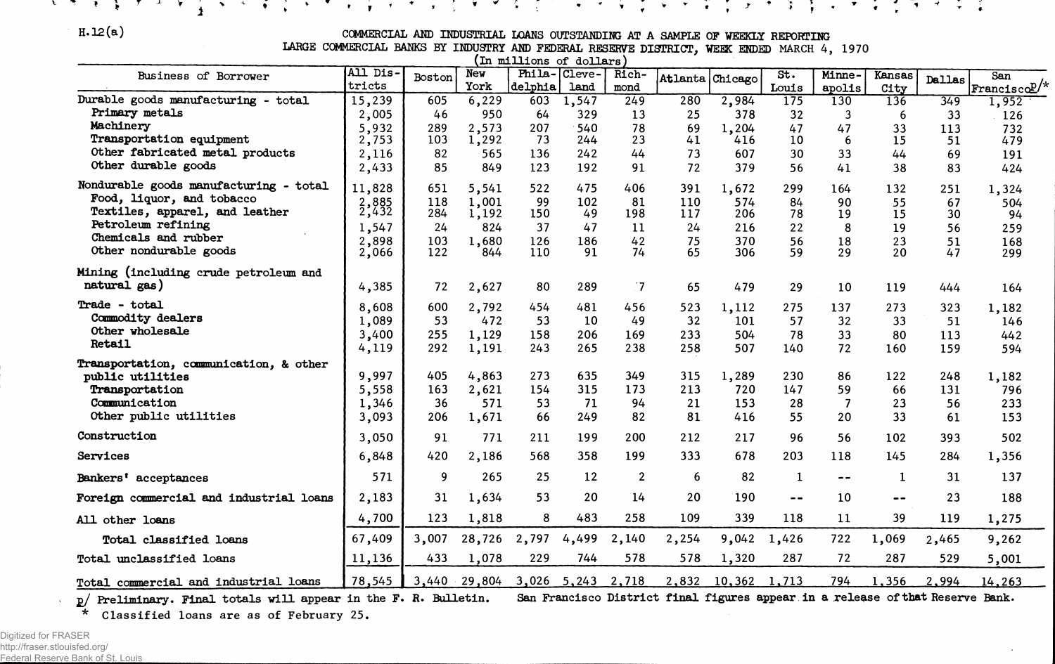## **H. 12(a) COMMERCIAL AND INDUSTRIAL LOANS OUTSTANDING AT A SAMPLE OF WEEKLY REPORTING**

ささきまで かわなささ むくささ りまえ さよくさげる (の) ナマタ くど かまくえき まもさもくささ かもく

**LARGE COMMERCIAL BANKS BY INDUSTRY AND FEDERAL RESERVE DISTRICT, WEEK ENDED** MARCH **4, 1970**

| (In millions of dollars)                |                |        |        |         |                         |                |       |                    |       |        |        |        |                               |
|-----------------------------------------|----------------|--------|--------|---------|-------------------------|----------------|-------|--------------------|-------|--------|--------|--------|-------------------------------|
| Business of Borrower                    | All Dis.       | Boston | New    | Phila-  | Cleve-                  | Rich-          |       | Atlanta Chicago    | St.   | Minne- | Kansas | Dallas | San                           |
|                                         | tricts         |        | York   | delphia | land                    | mond           |       |                    | Louis | apolis | City   |        | $\text{Franciscol} \text{/*}$ |
| Durable goods manufacturing - total     | 15,239         | 605    | 6,229  | 603     | 1,547                   | 249            | 280   | 2,984              | 175   | 130    | 136    | 349    | 1,952                         |
| Primary metals                          | 2,005          | 46     | 950    | 64      | 329                     | 13             | 25    | 378                | 32    | 3      | 6      | 33     | 126                           |
| Machinery                               | 5,932          | 289    | 2,573  | 207     | 540                     | 78             | 69    | 1,204              | 47    | 47     | 33     | 113    | 732                           |
| Transportation equipment                | 2,753          | 103    | 1,292  | 73      | 244                     | 23             | 41    | 416                | 10    | 6      | 15     | 51     | 479                           |
| Other fabricated metal products         | 2,116          | 82     | 565    | 136     | 242                     | 44             | 73    | 607                | 30    | 33     | 44     | 69     | 191                           |
| Other durable goods                     | 2,433          | 85     | 849    | 123     | 192                     | 91             | 72    | 379                | 56    | 41     | 38     | 83     | 424                           |
| Nondurable goods manufacturing - total  | 11,828         | 651    | 5,541  | 522     | 475                     | 406            | 391   | 1,672              | 299   | 164    | 132    | 251    | 1,324                         |
| Food, liquor, and tobacco               | 2,885<br>2,432 | 118    | 1,001  | 99      | 102                     | 81             | 110   | 574                | 84    | 90     | 55     | -67    | 504                           |
| Textiles, apparel, and leather          |                | 284    | 1,192  | 150     | 49                      | 198            | 117   | 206                | 78    | 19     | 15     | 30     | 94                            |
| Petroleum refining                      | 1,547          | 24     | 824    | 37      | 47                      | 11             | 24    | 216                | 22    | 8      | 19     | 56     | 259                           |
| Chemicals and rubber                    | 2,898          | 103    | 1,680  | 126     | 186                     | 42             | 75    | 370                | 56    | 18     | 23     | 51     | 168                           |
| Other nondurable goods                  | 2,066          | 122    | 844    | 110     | 91                      | 74             | 65    | 306                | 59    | 29     | 20     | 47     | 299                           |
| Mining (including crude petroleum and   |                |        |        |         |                         |                |       |                    |       |        |        |        |                               |
| natural gas)                            | 4,385          | 72     | 2,627  | 80      | 289                     | ਂ7             | 65    | 479                | 29    | 10     | 119    | 444    | 164                           |
| Trade - total                           | 8,608          | 600    | 2,792  | 454     | 481                     | 456            | 523   | 1,112              | 275   | 137    | 273    | 323    | 1,182                         |
| Commodity dealers                       | 1,089          | 53     | 472    | 53      | 10                      | 49             | 32    | 101                | 57    | 32     | 33     | 51     | 146                           |
| Other wholesale                         | 3,400          | 255    | 1,129  | 158     | 206                     | 169            | 233   | 504                | 78    | 33     | 80     | 113    | 442                           |
| Retail                                  | 4,119          | 292    | 1,191  | 243     | 265                     | 238            | 258   | 507                | 140   | 72     | 160    | 159    | 594                           |
| Transportation, communication, & other  |                |        |        |         |                         |                |       |                    |       |        |        |        |                               |
| public utilities                        | 9,997          | 405    | 4,863  | 273     | 635                     | 349            | 315   | 1,289              | 230   | 86     | 122    | 248    | 1,182                         |
| Transportation                          | 5,558          | 163    | 2,621  | 154     | 315                     | 173            | 213   | 720                | 147   | 59     | 66     | 131    | 796                           |
| Communication                           | 1,346          | 36     | 571    | 53      | 71                      | 94             | 21    | 153                | 28    | 7      | 23     | 56     | 233                           |
| Other public utilities                  | 3,093          | 206    | 1,671  | 66      | 249                     | 82             | 81    | 416                | 55    | 20     | 33     | 61     | 153                           |
| Construction                            | 3,050          | 91     | 771    | 211     | 199                     | 200            | 212   | 217                | 96    | 56     | 102    | 393    | 502                           |
| Services                                | 6,848          | 420    | 2,186  | 568     | 358                     | 199            | 333   | 678                | 203   | 118    | 145    | 284    | 1,356                         |
| Bankers' acceptances                    | 571            | 9      | 265    | 25      | 12                      | $\overline{2}$ | 6     | 82                 | -1    | $- -$  | -1     | 31     | 137                           |
| Foreign commercial and industrial loans | 2,183          | 31     | 1,634  | 53      | 20                      | 14             | 20    | 190                | $- -$ | 10     | $- -$  | 23     | 188                           |
| All other loans                         | 4,700          | 123    | 1,818  | 8       | 483                     | 258            | 109   | 339                | 118   | 11     | 39     | 119    | 1,275                         |
| Total classified loans                  | 67,409         | 3,007  | 28,726 | 2,797   | 4,499                   | 2,140          | 2,254 | 9,042              | 1,426 | 722    | 1,069  | 2,465  | 9,262                         |
| Total unclassified loans                | 11,136         | 433    | 1,078  | 229     | 744                     | 578            | 578   | 1,320              | 287   | 72     | 287    | 529    | 5,001                         |
| Total commercial and industrial loans   | 78,545         | 3,440  | 29,804 |         | $3,026$ $5,243$ $2,718$ |                |       | 2,832 10,362 1,713 |       | 794    | 1,356  | 2,994  | 14,263                        |

p/ Preliminary. Final totals will appear in the F. R. Bulletin. San Francisco District final figures appear in a release of that Reserve Bank.

**\* Classified loans are as of February 25.**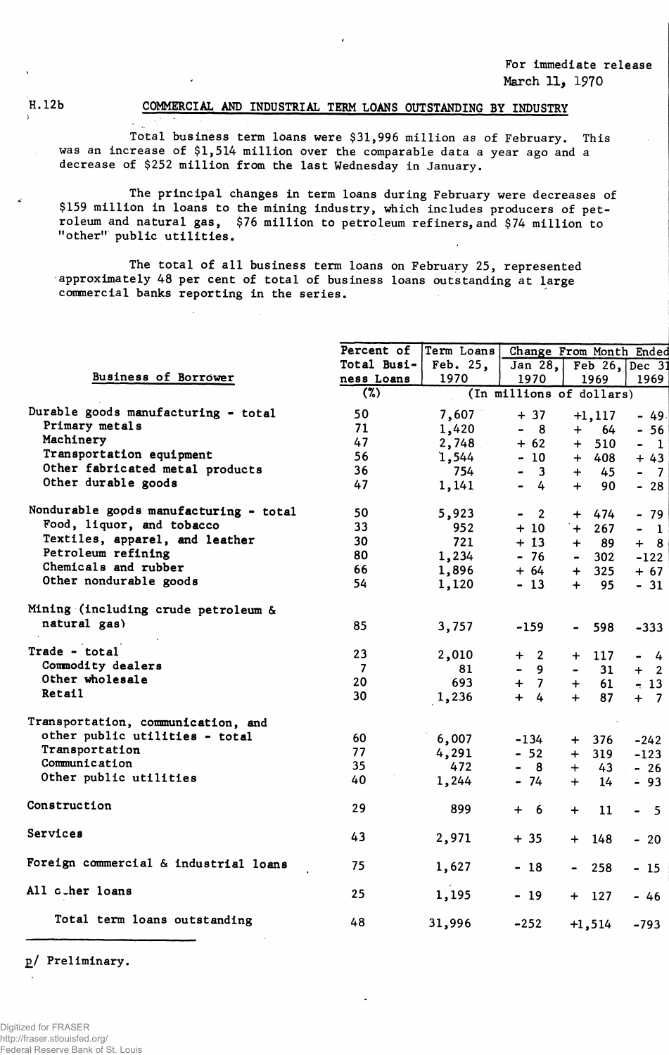### **H.12b COMMERCIAL AND INDUSTRIAL TERM LOANS OUTSTANDING BY INDUSTRY**

**Total business term loans were \$31,996 million as of February. This was an increase of \$1,514 million over the comparable data a year ago and a decrease of \$252 million from the last Wednesday in January.**

**The principal changes in term loans during February were decreases of \$159 million in loans to the mining industry, which includes producers of petroleum and natural gas, \$76 million to petroleum refiners, and \$74 million to "other" public utilities.**

**The total of all business term loans on February 25, represented approximately 48 per cent of total of business loans outstanding at large commercial banks reporting in the series.**

|                                        | Percent of  | Term Loans |                                                          | Change From Month Ended             |                                  |
|----------------------------------------|-------------|------------|----------------------------------------------------------|-------------------------------------|----------------------------------|
|                                        | Total Busi- | Feb. 25,   |                                                          | Jan 28, Feb 26, Dec 31              |                                  |
| <b>Business of Borrower</b>            | ness Loans  | 1970       | 1970                                                     | 1969                                | 1969                             |
|                                        | (%)         |            |                                                          | (In millions of dollars)            |                                  |
| Durable goods manufacturing - total    | 50          | 7,607      | $+37$                                                    | $+1, 117$                           | $-49.$                           |
| Primary metals                         | 71          | 1,420      | $\qquad \qquad \blacksquare$<br>$\overline{\mathbf{8}}$  | $+$<br>64                           | $-56$                            |
| Machinery                              | 47          | 2,748      | $+62$                                                    | 510<br>$\ddot{}$                    | $\mathbf{1}$<br>$\blacksquare$   |
| Transportation equipment               | 56          | 1,544      | $-10$                                                    | $+ 408$                             | $+43$                            |
| Other fabricated metal products        | 36          | 754        | $-3$                                                     | 45<br>$+$                           | $\overline{7}$<br>$\blacksquare$ |
| Other durable goods                    | 47          | 1,141      | $-4$                                                     | 90<br>$+$                           | $-28$                            |
| Nondurable goods manufacturing - total | 50          | 5,923      | $\overline{\phantom{a}}$<br>$\qquad \qquad \blacksquare$ | 474<br>$+$                          | $-79$                            |
| Food, liquor, and tobacco              | 33          | 952        | $+10$                                                    | 267<br>$+$                          | $\mathbf{1}$<br>$\blacksquare$   |
| Textiles, apparel, and leather         | 30          | 721        | $+13$                                                    | 89<br>$+$                           | $\overline{\mathbf{8}}$<br>$+$   |
| Petroleum refining                     | 80          | 1,234      | $-76$                                                    | 302                                 | $-122$                           |
| Chemicals and rubber                   | 66          | 1,896      | $+ 64$                                                   | 325<br>$+$                          |                                  |
| Other nondurable goods                 | 54          | 1,120      | $-13.$                                                   | 95<br>$+$                           | $+ 67$<br>$-31$                  |
|                                        |             |            |                                                          |                                     |                                  |
| Mining (including crude petroleum &    |             |            |                                                          |                                     |                                  |
| natural gas)                           | 85          | 3,757      | $-159$                                                   | 598                                 | $-333$                           |
| Trade - total                          | 23          | 2,010      | $\overline{\mathbf{2}}$<br>$\ddot{}$                     | 117<br>$+$                          | 4<br>$\blacksquare$              |
| Commodity dealers                      | 7           | 81         | $\blacksquare$<br>- 9                                    | 31<br>$\blacksquare$                | $\overline{\mathbf{2}}$<br>$+$   |
| Other wholesale                        | 20          | 693        | $+ 7$                                                    | 61<br>$+$                           | $-13$                            |
| Retail                                 | 30          | 1,236      | $+ 4$                                                    | $+$<br>87                           | $+$ 7                            |
| Transportation, communication, and     |             |            |                                                          |                                     |                                  |
| other public utilities - total         | 60          | 6,007      | $-134$                                                   | 376<br>$+$                          | $-242$                           |
| Transportation                         | 77          | 4,291      | $-52$                                                    | 319<br>$+$                          | $-123$                           |
| Communication                          | 35          | 472        | 8 <sub>1</sub><br>$\blacksquare$                         | 43<br>$+$                           | $-26$                            |
| Other public utilities                 | 40          | 1,244      | $-74$                                                    | 14<br>$+$                           | $-93$                            |
|                                        |             |            |                                                          |                                     |                                  |
| Construction                           | 29          | 899        | $+$<br>$6\overline{6}$                                   | 11<br>$\ddotmark$                   | $-5$                             |
| Services                               | 43          | 2,971      | $+35$                                                    | 148<br>$+$                          | $-20$                            |
| Foreign commercial & industrial loans  | 75          | 1,627      | $-18$                                                    | 258<br>$\qquad \qquad \blacksquare$ | $-15$                            |
| <b>All cther loans</b>                 | 25          | 1,195      | $-19$                                                    | 127<br>$+$                          | - 46                             |
| Total term loans outstanding           | 48          | 31,996     | $-252$                                                   | $+1,514$                            | $-793$                           |
|                                        |             |            |                                                          |                                     |                                  |

**£/ Preliminary.**